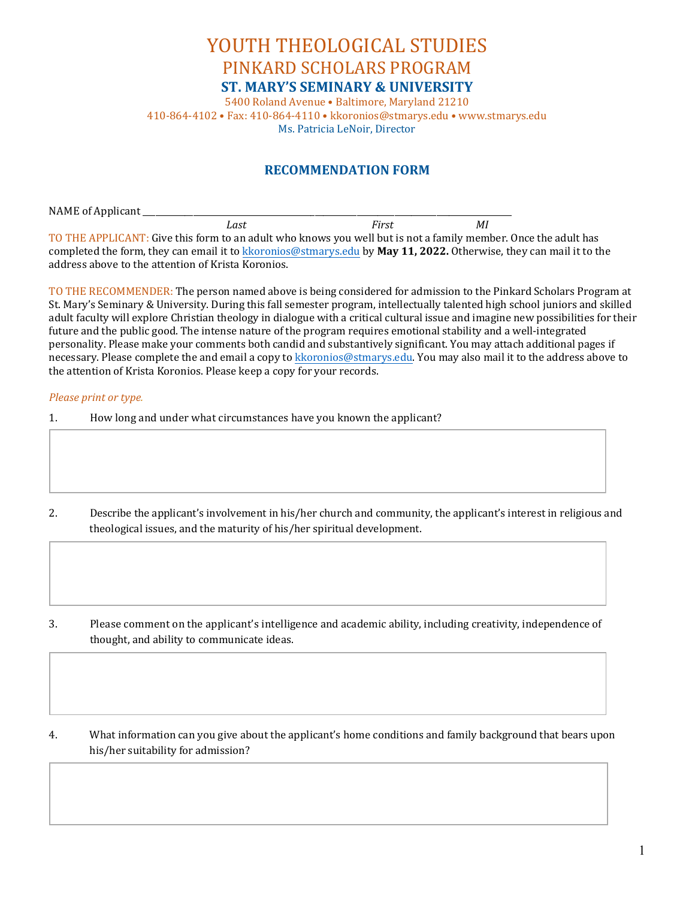## YOUTH THEOLOGICAL STUDIES PINKARD SCHOLARS PROGRAM **ST. MARY'S SEMINARY & UNIVERSITY**

5400 Roland Avenue • Baltimore, Maryland 21210 410-864-4102 • Fax: 410-864-4110 • kkoronios@stmarys.edu • www.stmarys.edu Ms. Patricia LeNoir, Director

## **RECOMMENDATION FORM**

NAME of Applicant \_\_\_\_\_\_\_\_\_\_\_\_\_\_\_\_\_\_\_\_\_\_\_\_\_\_\_\_\_\_\_\_\_\_\_\_\_\_\_\_\_\_\_\_\_\_\_\_\_\_\_\_\_\_\_\_\_\_\_\_\_\_\_\_\_\_\_\_\_\_\_\_\_\_\_\_\_\_\_\_\_\_\_\_\_\_\_\_  *Last First MI* TO THE APPLICANT: Give this form to an adult who knows you well but is not a family member. Once the adult has completed the form, they can email it t[o kkoronios@stmarys.edu](mailto:kkoronios@stmarys.edu) by **May 11, 2022.** Otherwise, they can mail it to the address above to the attention of Krista Koronios.

TO THE RECOMMENDER: The person named above is being considered for admission to the Pinkard Scholars Program at St. Mary's Seminary & University. During this fall semester program, intellectually talented high school juniors and skilled adult faculty will explore Christian theology in dialogue with a critical cultural issue and imagine new possibilities for their future and the public good. The intense nature of the program requires emotional stability and a well-integrated personality. Please make your comments both candid and substantively significant. You may attach additional pages if necessary. Please complete the and email a copy to [kkoronios@stmarys.edu.](mailto:kkoronios@stmarys.edu) You may also mail it to the address above to the attention of Krista Koronios. Please keep a copy for your records.

## *Please print or type.*

- 1. How long and under what circumstances have you known the applicant?
- 2. Describe the applicant's involvement in his/her church and community, the applicant's interest in religious and theological issues, and the maturity of his/her spiritual development.

3. Please comment on the applicant's intelligence and academic ability, including creativity, independence of thought, and ability to communicate ideas.

4. What information can you give about the applicant's home conditions and family background that bears upon his/her suitability for admission?